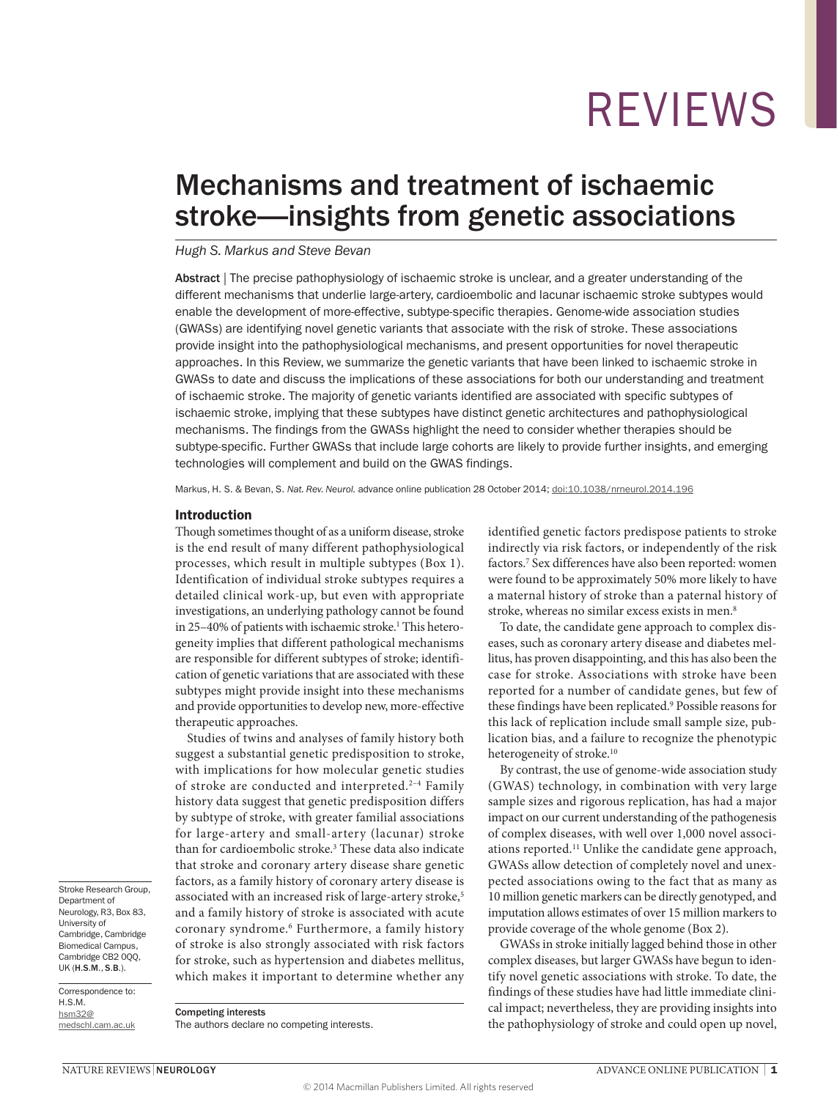## Mechanisms and treatment of ischaemic stroke—insights from genetic associations

### *Hugh S. Markus and Steve Bevan*

Abstract | The precise pathophysiology of ischaemic stroke is unclear, and a greater understanding of the different mechanisms that underlie large-artery, cardioembolic and lacunar ischaemic stroke subtypes would enable the development of more-effective, subtype-specific therapies. Genome-wide association studies (GWASs) are identifying novel genetic variants that associate with the risk of stroke. These associations provide insight into the pathophysiological mechanisms, and present opportunities for novel therapeutic approaches. In this Review, we summarize the genetic variants that have been linked to ischaemic stroke in GWASs to date and discuss the implications of these associations for both our understanding and treatment of ischaemic stroke. The majority of genetic variants identified are associated with specific subtypes of ischaemic stroke, implying that these subtypes have distinct genetic architectures and pathophysiological mechanisms. The findings from the GWASs highlight the need to consider whether therapies should be subtype-specific. Further GWASs that include large cohorts are likely to provide further insights, and emerging technologies will complement and build on the GWAS findings.

Markus, H. S. & Bevan, S. *Nat. Rev. Neurol.* advance online publication 28 October 2014; [doi:10.1038/nrneurol.2014.196](http://www.nature.com/doifinder/10.1038/nrneurol.2014.196)

### Introduction

Though sometimes thought of as a uniform disease, stroke is the end result of many different pathophysiological processes, which result in multiple subtypes (Box 1). Identification of individual stroke subtypes requires a detailed clinical work-up, but even with appropriate investigations, an underlying pathology cannot be found in 25-40% of patients with ischaemic stroke.<sup>1</sup> This heterogeneity implies that different pathological mechanisms are responsible for different subtypes of stroke; identification of genetic variations that are associated with these subtypes might provide insight into these mechanisms and provide opportunities to develop new, more-effective therapeutic approaches.

Studies of twins and analyses of family history both suggest a substantial genetic predisposition to stroke, with implications for how molecular genetic studies of stroke are conducted and interpreted.<sup>2-4</sup> Family history data suggest that genetic predisposition differs by subtype of stroke, with greater familial associations for large-artery and small-artery (lacunar) stroke than for cardioembolic stroke.3 These data also indicate that stroke and coronary artery disease share genetic factors, as a family history of coronary artery disease is associated with an increased risk of large-artery stroke,<sup>5</sup> and a family history of stroke is associated with acute coronary syndrome.6 Furthermore, a family history of stroke is also strongly associated with risk factors for stroke, such as hypertension and diabetes mellitus, which makes it important to determine whether any

identified genetic factors predispose patients to stroke indirectly via risk factors, or independently of the risk factors.7 Sex differences have also been reported: women were found to be approximately 50% more likely to have a maternal history of stroke than a paternal history of stroke, whereas no similar excess exists in men.<sup>8</sup>

To date, the candidate gene approach to complex diseases, such as coronary artery disease and diabetes mellitus, has proven disappointing, and this has also been the case for stroke. Associations with stroke have been reported for a number of candidate genes, but few of these findings have been replicated.<sup>9</sup> Possible reasons for this lack of replication include small sample size, publication bias, and a failure to recognize the phenotypic heterogeneity of stroke.<sup>10</sup>

By contrast, the use of genome-wide association study (GWAS) technology, in combination with very large sample sizes and rigorous replication, has had a major impact on our current understanding of the pathogenesis of complex diseases, with well over 1,000 novel associations reported.11 Unlike the candidate gene approach, GWASs allow detection of completely novel and unexpected associations owing to the fact that as many as 10 million genetic markers can be directly genotyped, and imputation allows estimates of over 15 million markers to provide coverage of the whole genome (Box 2).

GWASs in stroke initially lagged behind those in other complex diseases, but larger GWASs have begun to identify novel genetic associations with stroke. To date, the findings of these studies have had little immediate clinical impact; nevertheless, they are providing insights into the pathophysiology of stroke and could open up novel,

Stroke Research Group, Department of Neurology, R3, Box 83, University of Cambridge, Cambridge Biomedical Campus, Cambridge CB2 0QQ, UK (H.S.M., S.B.).

Correspondence to: H.S.M. [hsm32@](mailto:hsm32@medschl.cam.ac.uk) [medschl.cam.ac.uk](mailto:hsm32@medschl.cam.ac.uk)

Competing interests The authors declare no competing interests.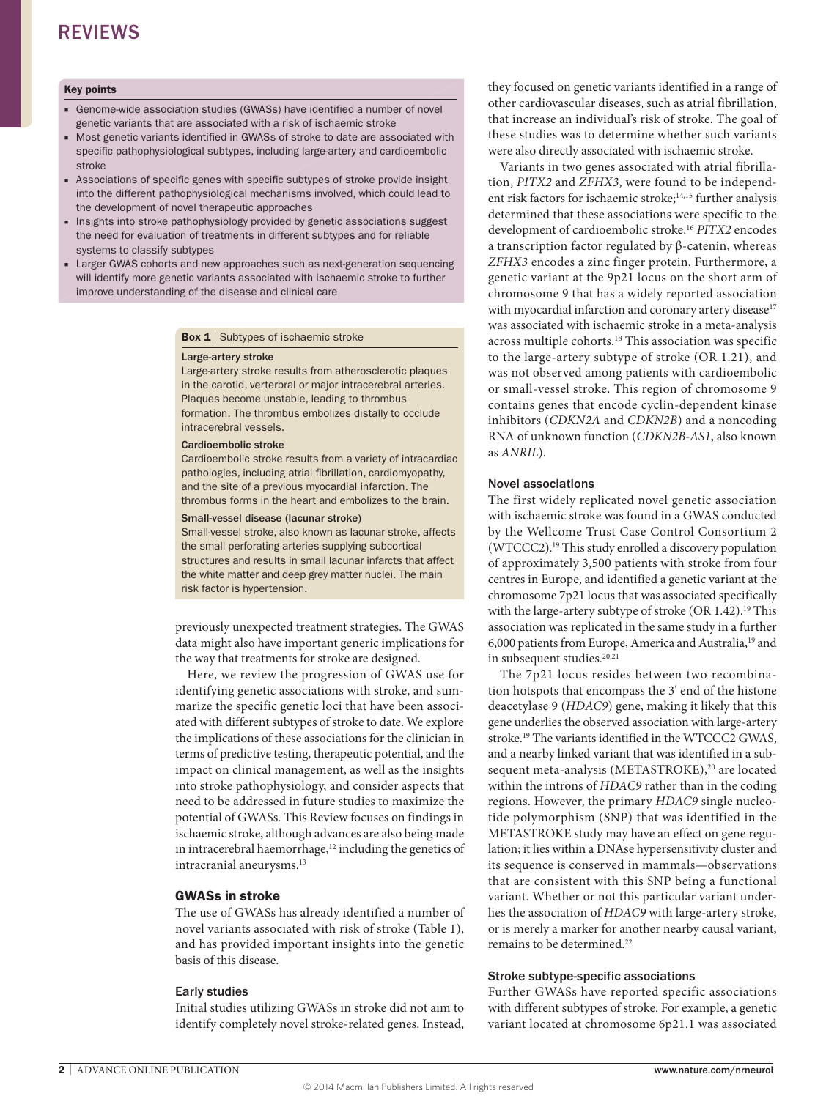#### Key points

- Genome-wide association studies (GWASs) have identified a number of novel genetic variants that are associated with a risk of ischaemic stroke
- Most genetic variants identified in GWASs of stroke to date are associated with specific pathophysiological subtypes, including large-artery and cardioembolic stroke
- Associations of specific genes with specific subtypes of stroke provide insight into the different pathophysiological mechanisms involved, which could lead to the development of novel therapeutic approaches
- Insights into stroke pathophysiology provided by genetic associations suggest the need for evaluation of treatments in different subtypes and for reliable systems to classify subtypes
- Larger GWAS cohorts and new approaches such as next-generation sequencing will identify more genetic variants associated with ischaemic stroke to further improve understanding of the disease and clinical care

### Box 1 | Subtypes of ischaemic stroke

### Large-artery stroke

Large-artery stroke results from atherosclerotic plaques in the carotid, verterbral or major intracerebral arteries. Plaques become unstable, leading to thrombus formation. The thrombus embolizes distally to occlude intracerebral vessels.

### Cardioembolic stroke

Cardioembolic stroke results from a variety of intracardiac pathologies, including atrial fibrillation, cardiomyopathy, and the site of a previous myocardial infarction. The thrombus forms in the heart and embolizes to the brain.

#### Small-vessel disease (lacunar stroke)

Small-vessel stroke, also known as lacunar stroke, affects the small perforating arteries supplying subcortical structures and results in small lacunar infarcts that affect the white matter and deep grey matter nuclei. The main risk factor is hypertension.

previously unexpected treatment strategies. The GWAS data might also have important generic implications for the way that treatments for stroke are designed.

Here, we review the progression of GWAS use for identifying genetic associations with stroke, and summarize the specific genetic loci that have been associated with different subtypes of stroke to date. We explore the implications of these associations for the clinician in terms of predictive testing, therapeutic potential, and the impact on clinical management, as well as the insights into stroke pathophysiology, and consider aspects that need to be addressed in future studies to maximize the potential of GWASs. This Review focuses on findings in ischaemic stroke, although advances are also being made in intracerebral haemorrhage,<sup>12</sup> including the genetics of intracranial aneurysms.<sup>13</sup>

### GWASs in stroke

The use of GWASs has already identified a number of novel variants associated with risk of stroke (Table 1), and has provided important insights into the genetic basis of this disease.

### Early studies

Initial studies utilizing GWASs in stroke did not aim to identify completely novel stroke-related genes. Instead, they focused on genetic variants identified in a range of other cardiovascular diseases, such as atrial fibrillation, that increase an individual's risk of stroke. The goal of these studies was to determine whether such variants were also directly associated with ischaemic stroke.

Variants in two genes associated with atrial fibrillation, *PITX2* and *ZFHX3*, were found to be independent risk factors for ischaemic stroke;<sup>14,15</sup> further analysis determined that these associations were specific to the development of cardioembolic stroke.16 *PITX2* encodes a transcription factor regulated by β-catenin, whereas *ZFHX3* encodes a zinc finger protein. Furthermore, a genetic variant at the 9p21 locus on the short arm of chromosome 9 that has a widely reported association with myocardial infarction and coronary artery disease<sup>17</sup> was associated with ischaemic stroke in a meta-analysis across multiple cohorts.18 This association was specific to the large-artery subtype of stroke (OR 1.21), and was not observed among patients with cardioembolic or small-vessel stroke. This region of chromosome 9 contains genes that encode cyclin-dependent kinase inhibitors (*CDKN2A* and *CDKN2B*) and a noncoding RNA of unknown function (*CDKN2B-AS1*, also known as *ANRIL*).

### Novel associations

The first widely replicated novel genetic association with ischaemic stroke was found in a GWAS conducted by the Wellcome Trust Case Control Consortium 2 (WTCCC2).19 This study enrolled a discovery population of approximately 3,500 patients with stroke from four centres in Europe, and identified a genetic variant at the chromosome 7p21 locus that was associated specifically with the large-artery subtype of stroke (OR 1.42).<sup>19</sup> This association was replicated in the same study in a further 6,000 patients from Europe, America and Australia,19 and in subsequent studies.<sup>20,21</sup>

The 7p21 locus resides between two recombination hotspots that encompass the 3' end of the histone deacetylase 9 (*HDAC9*) gene, making it likely that this gene underlies the observed association with large-artery stroke.19 The variants identified in the WTCCC2 GWAS, and a nearby linked variant that was identified in a subsequent meta-analysis (METASTROKE),<sup>20</sup> are located within the introns of *HDAC9* rather than in the coding regions. However, the primary *HDAC9* single nucleotide polymorphism (SNP) that was identified in the METASTROKE study may have an effect on gene regulation; it lies within a DNAse hypersensitivity cluster and its sequence is conserved in mammals—observations that are consistent with this SNP being a functional variant. Whether or not this particular variant underlies the association of *HDAC9* with large-artery stroke, or is merely a marker for another nearby causal variant, remains to be determined.<sup>22</sup>

### Stroke subtype-specific associations

Further GWASs have reported specific associations with different subtypes of stroke. For example, a genetic variant located at chromosome 6p21.1 was associated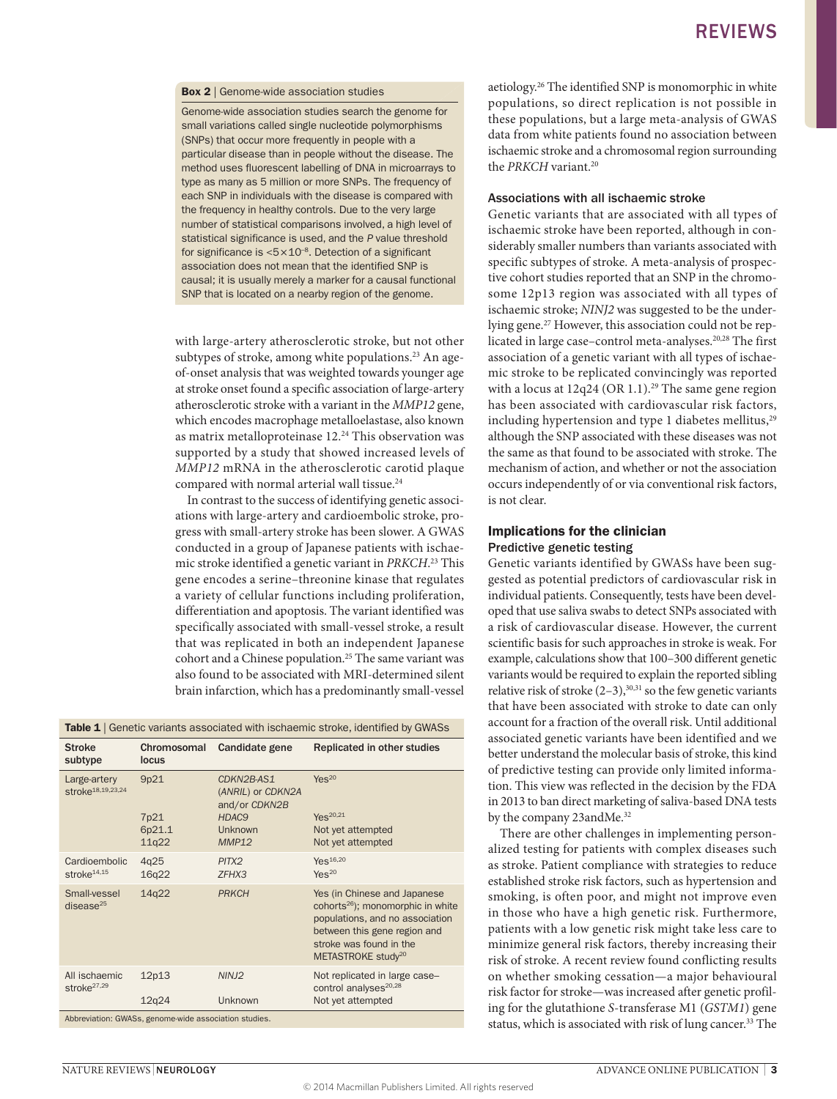### Box 2 | Genome-wide association studies

Genome-wide association studies search the genome for small variations called single nucleotide polymorphisms (SNPs) that occur more frequently in people with a particular disease than in people without the disease. The method uses fluorescent labelling of DNA in microarrays to type as many as 5 million or more SNPs. The frequency of each SNP in individuals with the disease is compared with the frequency in healthy controls. Due to the very large number of statistical comparisons involved, a high level of statistical significance is used, and the *P* value threshold for significance is  $< 5 \times 10^{-8}$ . Detection of a significant association does not mean that the identified SNP is causal; it is usually merely a marker for a causal functional SNP that is located on a nearby region of the genome.

with large-artery atherosclerotic stroke, but not other subtypes of stroke, among white populations.<sup>23</sup> An ageof-onset analysis that was weighted towards younger age at stroke onset found a specific association of large-artery atherosclerotic stroke with a variant in the *MMP12* gene, which encodes macrophage metalloelastase, also known as matrix metalloproteinase 12.<sup>24</sup> This observation was supported by a study that showed increased levels of *MMP12* mRNA in the atherosclerotic carotid plaque compared with normal arterial wall tissue.<sup>24</sup>

In contrast to the success of identifying genetic associations with large-artery and cardioembolic stroke, progress with small-artery stroke has been slower. A GWAS conducted in a group of Japanese patients with ischaemic stroke identified a genetic variant in *PRKCH*. <sup>23</sup> This gene encodes a serine–threonine kinase that regulates a variety of cellular functions including proliferation, differentiation and apoptosis. The variant identified was specifically associated with small-vessel stroke, a result that was replicated in both an independent Japanese cohort and a Chinese population.25 The same variant was also found to be associated with MRI-determined silent brain infarction, which has a predominantly small-vessel

| <b>Table 1</b> Genetic variants associated with ischaemic stroke, identified by GWASs |                                 |                                                                                                       |                                                                                                                                                                                                               |
|---------------------------------------------------------------------------------------|---------------------------------|-------------------------------------------------------------------------------------------------------|---------------------------------------------------------------------------------------------------------------------------------------------------------------------------------------------------------------|
| <b>Stroke</b><br>subtype                                                              | Chromosomal<br>locus            | Candidate gene                                                                                        | Replicated in other studies                                                                                                                                                                                   |
| Large-artery<br>stroke <sup>18,19,23,24</sup>                                         | 9p21<br>7p21<br>6p21.1<br>11g22 | CDKN2B-AS1<br>(ANRIL) or CDKN2A<br>and/or CDKN2B<br>HDAC <sub>9</sub><br>Unknown<br>MMP <sub>12</sub> | Yes <sup>20</sup><br>Yes <sup>20,21</sup><br>Not yet attempted<br>Not yet attempted                                                                                                                           |
| Cardioembolic<br>stroke $14,15$                                                       | 4g25<br>16q22                   | PITX <sub>2</sub><br>ZFHX3                                                                            | Yes <sup>16,20</sup><br>Yes <sup>20</sup>                                                                                                                                                                     |
| Small-vessel<br>disease <sup>25</sup>                                                 | 14g22                           | <b>PRKCH</b>                                                                                          | Yes (in Chinese and Japanese<br>cohorts <sup>26</sup> ); monomorphic in white<br>populations, and no association<br>between this gene region and<br>stroke was found in the<br>METASTROKE study <sup>20</sup> |
| All ischaemic<br>stroke <sup>27,29</sup>                                              | 12p13<br>12g24                  | NINJ2<br>Unknown                                                                                      | Not replicated in large case-<br>control analyses <sup>20,28</sup><br>Not yet attempted                                                                                                                       |
| Abbreviation: GWASs, genome-wide association studies.                                 |                                 |                                                                                                       |                                                                                                                                                                                                               |

aetiology.26 The identified SNP is monomorphic in white populations, so direct replication is not possible in these populations, but a large meta-analysis of GWAS data from white patients found no association between ischaemic stroke and a chromosomal region surrounding the *PRKCH* variant<sup>20</sup>

### Associations with all ischaemic stroke

Genetic variants that are associated with all types of ischaemic stroke have been reported, although in considerably smaller numbers than variants associated with specific subtypes of stroke. A meta-analysis of prospective cohort studies reported that an SNP in the chromosome 12p13 region was associated with all types of ischaemic stroke; *NINJ2* was suggested to be the underlying gene.27 However, this association could not be replicated in large case–control meta-analyses.20,28 The first association of a genetic variant with all types of ischaemic stroke to be replicated convincingly was reported with a locus at  $12q24$  (OR 1.1).<sup>29</sup> The same gene region has been associated with cardiovascular risk factors, including hypertension and type 1 diabetes mellitus,<sup>29</sup> although the SNP associated with these diseases was not the same as that found to be associated with stroke. The mechanism of action, and whether or not the association occurs independently of or via conventional risk factors, is not clear.

### Implications for the clinician Predictive genetic testing

Genetic variants identified by GWASs have been suggested as potential predictors of cardiovascular risk in individual patients. Consequently, tests have been developed that use saliva swabs to detect SNPs associated with a risk of cardiovascular disease. However, the current scientific basis for such approaches in stroke is weak. For example, calculations show that 100–300 different genetic variants would be required to explain the reported sibling relative risk of stroke  $(2-3)$ ,  $30,31$  so the few genetic variants that have been associated with stroke to date can only account for a fraction of the overall risk. Until additional associated genetic variants have been identified and we better understand the molecular basis of stroke, this kind of predictive testing can provide only limited information. This view was reflected in the decision by the FDA in 2013 to ban direct marketing of saliva-based DNA tests by the company 23andMe.<sup>32</sup>

There are other challenges in implementing personalized testing for patients with complex diseases such as stroke. Patient compliance with strategies to reduce established stroke risk factors, such as hypertension and smoking, is often poor, and might not improve even in those who have a high genetic risk. Furthermore, patients with a low genetic risk might take less care to minimize general risk factors, thereby increasing their risk of stroke. A recent review found conflicting results on whether smoking cessation—a major behavioural risk factor for stroke—was increased after genetic profiling for the glutathione *S*-transferase M1 (*GSTM1*) gene status, which is associated with risk of lung cancer.<sup>33</sup> The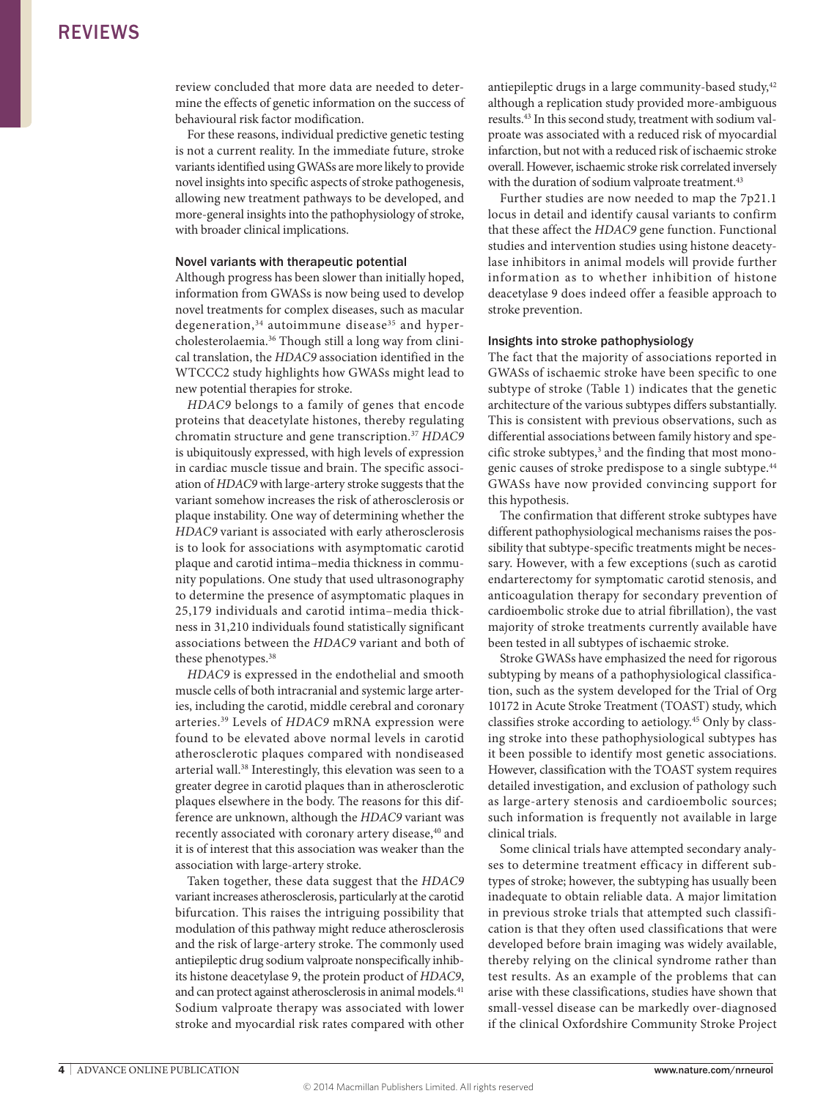review concluded that more data are needed to determine the effects of genetic information on the success of behavioural risk factor modification.

For these reasons, individual predictive genetic testing is not a current reality. In the immediate future, stroke variants identified using GWASs are more likely to provide novel insights into specific aspects of stroke pathogenesis, allowing new treatment pathways to be developed, and more-general insights into the pathophysiology of stroke, with broader clinical implications.

### Novel variants with therapeutic potential

Although progress has been slower than initially hoped, information from GWASs is now being used to develop novel treatments for complex diseases, such as macular degeneration, $34$  autoimmune disease $35$  and hypercholesterolaemia.36 Though still a long way from clinical translation, the *HDAC9* association identified in the WTCCC2 study highlights how GWASs might lead to new potential therapies for stroke.

*HDAC9* belongs to a family of genes that encode proteins that deacetylate histones, thereby regulating chromatin structure and gene transcription.37 *HDAC9* is ubiquitously expressed, with high levels of expression in cardiac muscle tissue and brain. The specific association of *HDAC9* with large-artery stroke suggests that the variant somehow increases the risk of atherosclerosis or plaque instability. One way of determining whether the *HDAC9* variant is associated with early atherosclerosis is to look for associations with asymptomatic carotid plaque and carotid intima–media thickness in community populations. One study that used ultrasonography to determine the presence of asymptomatic plaques in 25,179 individuals and carotid intima–media thickness in 31,210 individuals found statistically significant associations between the *HDAC9* variant and both of these phenotypes.<sup>38</sup>

*HDAC9* is expressed in the endothelial and smooth muscle cells of both intracranial and systemic large arteries, including the carotid, middle cerebral and coronary arteries.39 Levels of *HDAC9* mRNA expression were found to be elevated above normal levels in carotid atherosclerotic plaques compared with nondiseased arterial wall.38 Interestingly, this elevation was seen to a greater degree in carotid plaques than in atherosclerotic plaques elsewhere in the body. The reasons for this difference are unknown, although the *HDAC9* variant was recently associated with coronary artery disease,<sup>40</sup> and it is of interest that this association was weaker than the association with large-artery stroke.

Taken together, these data suggest that the *HDAC9*  variant increases atherosclerosis, particularly at the carotid bifurcation. This raises the intriguing possibility that modulation of this pathway might reduce atherosclerosis and the risk of large-artery stroke. The commonly used antiepileptic drug sodium valproate nonspecifically inhibits histone deacetylase 9, the protein product of *HDAC9*, and can protect against atherosclerosis in animal models.<sup>41</sup> Sodium valproate therapy was associated with lower stroke and myocardial risk rates compared with other

antiepileptic drugs in a large community-based study, $42$ although a replication study provided more-ambiguous results.43 In this second study, treatment with sodium valproate was associated with a reduced risk of myocardial infarction, but not with a reduced risk of ischaemic stroke overall. However, ischaemic stroke risk correlated inversely with the duration of sodium valproate treatment.<sup>43</sup>

Further studies are now needed to map the 7p21.1 locus in detail and identify causal variants to confirm that these affect the *HDAC9* gene function. Functional studies and intervention studies using histone deacetylase inhibitors in animal models will provide further information as to whether inhibition of histone deacetylase 9 does indeed offer a feasible approach to stroke prevention.

### Insights into stroke pathophysiology

The fact that the majority of associations reported in GWASs of ischaemic stroke have been specific to one subtype of stroke (Table 1) indicates that the genetic architecture of the various subtypes differs substantially. This is consistent with previous observations, such as differential associations between family history and spe- $\text{cific stroke subtypes}, \text{3} \text{ and the finding that most mono-}$ genic causes of stroke predispose to a single subtype.44 GWASs have now provided convincing support for this hypothesis.

The confirmation that different stroke subtypes have different pathophysiological mechanisms raises the possibility that subtype-specific treatments might be necessary. However, with a few exceptions (such as carotid endarterectomy for symptomatic carotid stenosis, and anticoagulation therapy for secondary prevention of cardioembolic stroke due to atrial fibrillation), the vast majority of stroke treatments currently available have been tested in all subtypes of ischaemic stroke.

Stroke GWASs have emphasized the need for rigorous subtyping by means of a pathophysiological classification, such as the system developed for the Trial of Org 10172 in Acute Stroke Treatment (TOAST) study, which classifies stroke according to aetiology.45 Only by classing stroke into these pathophysiological subtypes has it been possible to identify most genetic associations. However, classification with the TOAST system requires detailed investigation, and exclusion of pathology such as large-artery stenosis and cardioembolic sources; such information is frequently not available in large clinical trials.

Some clinical trials have attempted secondary analyses to determine treatment efficacy in different subtypes of stroke; however, the subtyping has usually been inadequate to obtain reliable data. A major limitation in previous stroke trials that attempted such classification is that they often used classifications that were developed before brain imaging was widely available, thereby relying on the clinical syndrome rather than test results. As an example of the problems that can arise with these classifications, studies have shown that small-vessel disease can be markedly over-diagnosed if the clinical Oxfordshire Community Stroke Project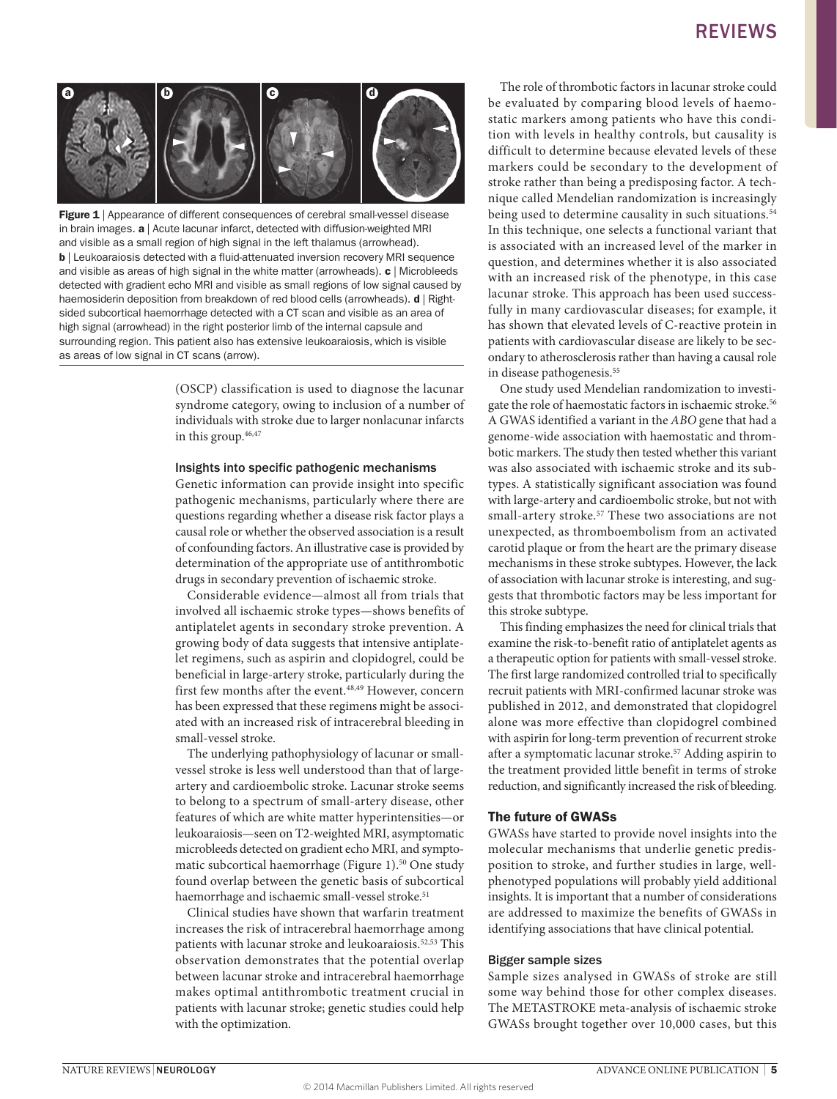

Figure 1 | Appearance of different consequences of cerebral small-vessel disease in brain images. a | Acute lacunar infarct, detected with diffusion-weighted MRI and visible as a small region of high signal in the left thalamus (arrowhead). **b** | Leukoaraiosis detected with a fluid-attenuated inversion recovery MRI sequence and visible as areas of high signal in the white matter (arrowheads). c | Microbleeds detected with gradient echo MRI and visible as small regions of low signal caused by haemosiderin deposition from breakdown of red blood cells (arrowheads). d | Rightsided subcortical haemorrhage detected with a CT scan and visible as an area of high signal (arrowhead) in the right posterior limb of the internal capsule and surrounding region. This patient also has extensive leukoaraiosis, which is visible as areas of low signal in CT scans (arrow).

(OSCP) classification is used to diagnose the lacunar syndrome category, owing to inclusion of a number of individuals with stroke due to larger nonlacunar infarcts in this group.<sup>46,47</sup>

### Insights into specific pathogenic mechanisms

Genetic information can provide insight into specific pathogenic mechanisms, particularly where there are questions regarding whether a disease risk factor plays a causal role or whether the observed association is a result of confounding factors. An illustrative case is provided by determination of the appropriate use of antithrombotic drugs in secondary prevention of ischaemic stroke.

Considerable evidence—almost all from trials that involved all ischaemic stroke types—shows benefits of antiplatelet agents in secondary stroke prevention. A growing body of data suggests that intensive antiplatelet regimens, such as aspirin and clopidogrel, could be beneficial in large-artery stroke, particularly during the first few months after the event.<sup>48,49</sup> However, concern has been expressed that these regimens might be associated with an increased risk of intracerebral bleeding in small-vessel stroke.

The underlying pathophysiology of lacunar or smallvessel stroke is less well understood than that of largeartery and cardioembolic stroke. Lacunar stroke seems to belong to a spectrum of small-artery disease, other features of which are white matter hyperintensities—or leukoaraiosis—seen on T2-weighted MRI, asymptomatic microbleeds detected on gradient echo MRI, and symptomatic subcortical haemorrhage (Figure 1).<sup>50</sup> One study found overlap between the genetic basis of subcortical haemorrhage and ischaemic small-vessel stroke.<sup>51</sup>

Clinical studies have shown that warfarin treatment increases the risk of intracerebral haemorrhage among patients with lacunar stroke and leukoaraiosis.<sup>52,53</sup> This observation demonstrates that the potential overlap between lacunar stroke and intracerebral haemorrhage makes optimal antithrombotic treatment crucial in patients with lacunar stroke; genetic studies could help with the optimization.

The role of thrombotic factors in lacunar stroke could be evaluated by comparing blood levels of haemostatic markers among patients who have this condition with levels in healthy controls, but causality is difficult to determine because elevated levels of these markers could be secondary to the development of stroke rather than being a predisposing factor. A technique called Mendelian randomization is increasingly being used to determine causality in such situations.<sup>54</sup> In this technique, one selects a functional variant that is associated with an increased level of the marker in question, and determines whether it is also associated with an increased risk of the phenotype, in this case lacunar stroke. This approach has been used successfully in many cardiovascular diseases; for example, it has shown that elevated levels of C-reactive protein in patients with cardiovascular disease are likely to be secondary to atherosclerosis rather than having a causal role in disease pathogenesis.<sup>55</sup>

One study used Mendelian randomization to investigate the role of haemostatic factors in ischaemic stroke.56 A GWAS identified a variant in the *ABO* gene that had a genome-wide association with haemostatic and thrombotic markers. The study then tested whether this variant was also associated with ischaemic stroke and its subtypes. A statistically significant association was found with large-artery and cardioembolic stroke, but not with small-artery stroke.57 These two associations are not unexpected, as thromboembolism from an activated carotid plaque or from the heart are the primary disease mechanisms in these stroke subtypes. However, the lack of association with lacunar stroke is interesting, and suggests that thrombotic factors may be less important for this stroke subtype.

This finding emphasizes the need for clinical trials that examine the risk-to-benefit ratio of antiplatelet agents as a therapeutic option for patients with small-vessel stroke. The first large randomized controlled trial to specifically recruit patients with MRI-confirmed lacunar stroke was published in 2012, and demonstrated that clopidogrel alone was more effective than clopidogrel combined with aspirin for long-term prevention of recurrent stroke after a symptomatic lacunar stroke.57 Adding aspirin to the treatment provided little benefit in terms of stroke reduction, and significantly increased the risk of bleeding.

### The future of GWASs

GWASs have started to provide novel insights into the molecular mechanisms that underlie genetic predisposition to stroke, and further studies in large, wellphenotyped populations will probably yield additional insights. It is important that a number of considerations are addressed to maximize the benefits of GWASs in identifying associations that have clinical potential.

### Bigger sample sizes

Sample sizes analysed in GWASs of stroke are still some way behind those for other complex diseases. The METASTROKE meta-analysis of ischaemic stroke GWASs brought together over 10,000 cases, but this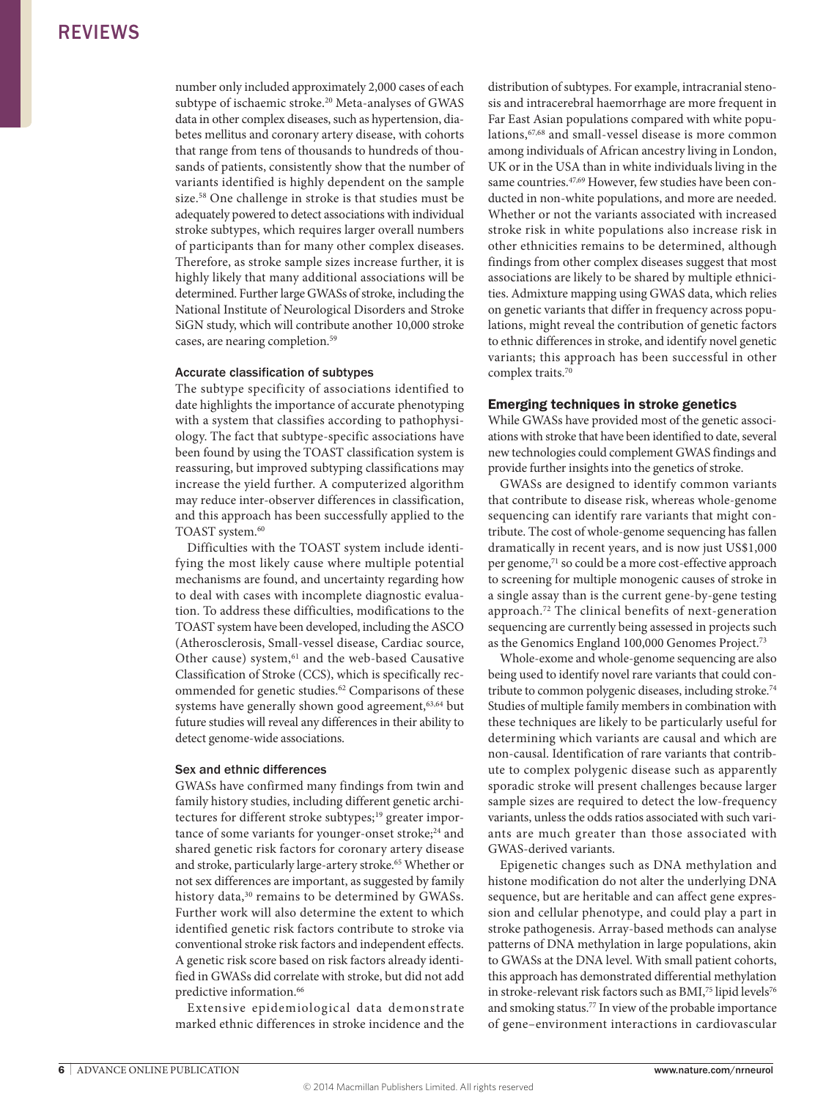number only included approximately 2,000 cases of each subtype of ischaemic stroke.<sup>20</sup> Meta-analyses of GWAS data in other complex diseases, such as hypertension, diabetes mellitus and coronary artery disease, with cohorts that range from tens of thousands to hundreds of thousands of patients, consistently show that the number of variants identified is highly dependent on the sample size.<sup>58</sup> One challenge in stroke is that studies must be adequately powered to detect associations with individual stroke subtypes, which requires larger overall numbers of participants than for many other complex diseases. Therefore, as stroke sample sizes increase further, it is highly likely that many additional associations will be determined. Further large GWASs of stroke, including the National Institute of Neurological Disorders and Stroke SiGN study, which will contribute another 10,000 stroke cases, are nearing completion.59

### Accurate classification of subtypes

The subtype specificity of associations identified to date highlights the importance of accurate phenotyping with a system that classifies according to pathophysiology. The fact that subtype-specific associations have been found by using the TOAST classification system is reassuring, but improved subtyping classifications may increase the yield further. A computerized algorithm may reduce inter-observer differences in classification, and this approach has been successfully applied to the TOAST system.<sup>60</sup>

Difficulties with the TOAST system include identifying the most likely cause where multiple potential mechanisms are found, and uncertainty regarding how to deal with cases with incomplete diagnostic evaluation. To address these difficulties, modifications to the TOAST system have been developed, including the ASCO (Atherosclerosis, Small-vessel disease, Cardiac source, Other cause) system,<sup>61</sup> and the web-based Causative Classification of Stroke (CCS), which is specifically recommended for genetic studies.<sup>62</sup> Comparisons of these systems have generally shown good agreement,  $63,64$  but future studies will reveal any differences in their ability to detect genome-wide associations.

### Sex and ethnic differences

GWASs have confirmed many findings from twin and family history studies, including different genetic architectures for different stroke subtypes;<sup>19</sup> greater importance of some variants for younger-onset stroke;<sup>24</sup> and shared genetic risk factors for coronary artery disease and stroke, particularly large-artery stroke.<sup>65</sup> Whether or not sex differences are important, as suggested by family history data,<sup>30</sup> remains to be determined by GWASs. Further work will also determine the extent to which identified genetic risk factors contribute to stroke via conventional stroke risk factors and independent effects. A genetic risk score based on risk factors already identified in GWASs did correlate with stroke, but did not add predictive information.<sup>66</sup>

Extensive epidemiological data demonstrate marked ethnic differences in stroke incidence and the distribution of subtypes. For example, intracranial stenosis and intracerebral haemorrhage are more frequent in Far East Asian populations compared with white populations,<sup>67,68</sup> and small-vessel disease is more common among individuals of African ancestry living in London, UK or in the USA than in white individuals living in the same countries.<sup>47,69</sup> However, few studies have been conducted in non-white populations, and more are needed. Whether or not the variants associated with increased stroke risk in white populations also increase risk in other ethnicities remains to be determined, although findings from other complex diseases suggest that most associations are likely to be shared by multiple ethnicities. Admixture mapping using GWAS data, which relies on genetic variants that differ in frequency across populations, might reveal the contribution of genetic factors to ethnic differences in stroke, and identify novel genetic variants; this approach has been successful in other complex traits.70

### Emerging techniques in stroke genetics

While GWASs have provided most of the genetic associations with stroke that have been identified to date, several new technologies could complement GWAS findings and provide further insights into the genetics of stroke.

GWASs are designed to identify common variants that contribute to disease risk, whereas whole-genome sequencing can identify rare variants that might contribute. The cost of whole-genome sequencing has fallen dramatically in recent years, and is now just US\$1,000 per genome,<sup>71</sup> so could be a more cost-effective approach to screening for multiple monogenic causes of stroke in a single assay than is the current gene-by-gene testing approach.72 The clinical benefits of next-generation sequencing are currently being assessed in projects such as the Genomics England 100,000 Genomes Project.73

Whole-exome and whole-genome sequencing are also being used to identify novel rare variants that could contribute to common polygenic diseases, including stroke.<sup>74</sup> Studies of multiple family members in combination with these techniques are likely to be particularly useful for determining which variants are causal and which are non-causal. Identification of rare variants that contribute to complex polygenic disease such as apparently sporadic stroke will present challenges because larger sample sizes are required to detect the low-frequency variants, unless the odds ratios associated with such variants are much greater than those associated with GWAS-derived variants.

Epigenetic changes such as DNA methylation and histone modification do not alter the underlying DNA sequence, but are heritable and can affect gene expression and cellular phenotype, and could play a part in stroke pathogenesis. Array-based methods can analyse patterns of DNA methylation in large populations, akin to GWASs at the DNA level. With small patient cohorts, this approach has demonstrated differential methylation in stroke-relevant risk factors such as BMI,<sup>75</sup> lipid levels<sup>76</sup> and smoking status.77 In view of the probable importance of gene–environment interactions in cardiovascular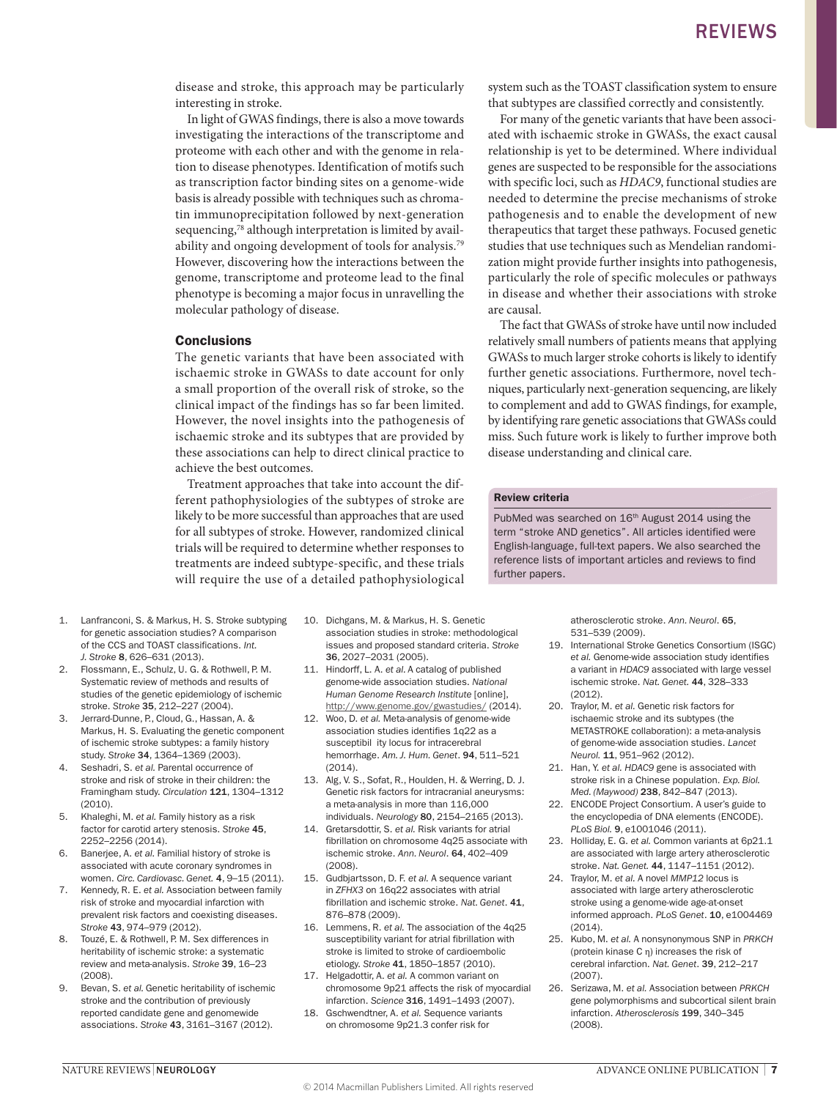disease and stroke, this approach may be particularly interesting in stroke.

In light of GWAS findings, there is also a move towards investigating the interactions of the transcriptome and proteome with each other and with the genome in relation to disease phenotypes. Identification of motifs such as transcription factor binding sites on a genome-wide basis is already possible with techniques such as chromatin immunoprecipitation followed by next-generation sequencing,<sup>78</sup> although interpretation is limited by availability and ongoing development of tools for analysis.79 However, discovering how the interactions between the genome, transcriptome and proteome lead to the final phenotype is becoming a major focus in unravelling the molecular pathology of disease.

### **Conclusions**

The genetic variants that have been associated with ischaemic stroke in GWASs to date account for only a small proportion of the overall risk of stroke, so the clinical impact of the findings has so far been limited. However, the novel insights into the pathogenesis of ischaemic stroke and its subtypes that are provided by these associations can help to direct clinical practice to achieve the best outcomes.

Treatment approaches that take into account the different pathophysiologies of the subtypes of stroke are likely to be more successful than approaches that are used for all subtypes of stroke. However, randomized clinical trials will be required to determine whether responses to treatments are indeed subtype-specific, and these trials will require the use of a detailed pathophysiological

- 1. Lanfranconi, S. & Markus, H. S. Stroke subtyping for genetic association studies? A comparison of the CCS and TOAST classifications. *Int. J. Stroke* 8, 626–631 (2013).
- 2. Flossmann, E., Schulz, U. G. & Rothwell, P. M. Systematic review of methods and results of studies of the genetic epidemiology of ischemic stroke. *Stroke* 35, 212–227 (2004).
- 3. Jerrard-Dunne, P., Cloud, G., Hassan, A. & Markus, H. S. Evaluating the genetic component of ischemic stroke subtypes: a family history study. *Stroke* 34, 1364–1369 (2003).
- 4. Seshadri, S. *et al.* Parental occurrence of stroke and risk of stroke in their children: the Framingham study. *Circulation* 121, 1304–1312 (2010).
- 5. Khaleghi, M. *et al.* Family history as a risk factor for carotid artery stenosis. *Stroke* 45, 2252–2256 (2014).
- 6. Banerjee, A. *et al.* Familial history of stroke is associated with acute coronary syndromes in women. *Circ. Cardiovasc. Genet.* 4, 9–15 (2011).
- 7. Kennedy, R. E. *et al.* Association between family risk of stroke and myocardial infarction with prevalent risk factors and coexisting diseases. *Stroke* 43, 974–979 (2012).
- 8. Touzé, E. & Rothwell, P. M. Sex differences in heritability of ischemic stroke: a systematic review and meta-analysis. *Stroke* 39, 16–23 (2008).
- 9. Bevan, S. *et al.* Genetic heritability of ischemic stroke and the contribution of previously reported candidate gene and genomewide associations. *Stroke* 43, 3161–3167 (2012).
- 10. Dichgans, M. & Markus, H. S. Genetic association studies in stroke: methodological issues and proposed standard criteria. *Stroke* 36, 2027–2031 (2005).
- 11. Hindorff, L. A. *et al.* A catalog of published genome-wide association studies. *National Human Genome Research Institute* [online], <http://www.genome.gov/gwastudies/>(2014).
- 12. Woo, D. *et al.* Meta-analysis of genome-wide association studies identifies 1q22 as a susceptibil ity locus for intracerebral hemorrhage. *Am. J. Hum. Genet*. 94, 511–521 (2014).
- 13. Alg, V. S., Sofat, R., Houlden, H. & Werring, D. J. Genetic risk factors for intracranial aneurysms: a meta-analysis in more than 116,000 individuals. *Neurology* 80, 2154–2165 (2013).
- 14. Gretarsdottir, S. *et al.* Risk variants for atrial fibrillation on chromosome 4q25 associate with ischemic stroke. *Ann. Neurol*. 64, 402–409 (2008).
- 15. Gudbjartsson, D. F. *et al.* A sequence variant in *ZFHX3* on 16q22 associates with atrial fibrillation and ischemic stroke. *Nat. Genet*. 41, 876–878 (2009).
- 16. Lemmens, R. *et al.* The association of the 4q25 susceptibility variant for atrial fibrillation with stroke is limited to stroke of cardioembolic etiology. *Stroke* 41, 1850–1857 (2010).
- 17. Helgadottir, A. *et al.* A common variant on chromosome 9p21 affects the risk of myocardial infarction. *Science* 316, 1491–1493 (2007).
- 18. Gschwendtner, A. *et al.* Sequence variants on chromosome 9p21.3 confer risk for

system such as the TOAST classification system to ensure that subtypes are classified correctly and consistently.

For many of the genetic variants that have been associated with ischaemic stroke in GWASs, the exact causal relationship is yet to be determined. Where individual genes are suspected to be responsible for the associations with specific loci, such as *HDAC9*, functional studies are needed to determine the precise mechanisms of stroke pathogenesis and to enable the development of new therapeutics that target these pathways. Focused genetic studies that use techniques such as Mendelian randomization might provide further insights into pathogenesis, particularly the role of specific molecules or pathways in disease and whether their associations with stroke are causal.

The fact that GWASs of stroke have until now included relatively small numbers of patients means that applying GWASs to much larger stroke cohorts is likely to identify further genetic associations. Furthermore, novel techniques, particularly next-generation sequencing, are likely to complement and add to GWAS findings, for example, by identifying rare genetic associations that GWASs could miss. Such future work is likely to further improve both disease understanding and clinical care.

### Review criteria

PubMed was searched on 16<sup>th</sup> August 2014 using the term "stroke AND genetics". All articles identified were English-language, full-text papers. We also searched the reference lists of important articles and reviews to find further papers.

> atherosclerotic stroke. *Ann. Neurol*. 65, 531–539 (2009).

- 19. International Stroke Genetics Consortium (ISGC) *et al.* Genome-wide association study identifies a variant in *HDAC9* associated with large vessel ischemic stroke. *Nat. Genet.* 44, 328–333 (2012).
- 20. Traylor, M. *et al.* Genetic risk factors for ischaemic stroke and its subtypes (the METASTROKE collaboration): a meta-analysis of genome-wide association studies. *Lancet Neurol.* 11, 951–962 (2012).
- 21. Han, Y. *et al. HDAC9* gene is associated with stroke risk in a Chinese population. *Exp. Biol. Med. (Maywood)* 238, 842–847 (2013).
- 22. ENCODE Project Consortium. A user's guide to the encyclopedia of DNA elements (ENCODE). *PLoS Biol.* 9, e1001046 (2011).
- 23. Holliday, E. G. *et al.* Common variants at 6p21.1 are associated with large artery atherosclerotic stroke. *Nat. Genet.* 44, 1147–1151 (2012).
- 24. Traylor, M. *et al.* A novel *MMP12* locus is associated with large artery atherosclerotic stroke using a genome-wide age-at-onset informed approach. *PLoS Genet*. 10, e1004469  $(2014)$ .
- 25. Kubo, M. *et al.* A nonsynonymous SNP in *PRKCH* (protein kinase C η) increases the risk of cerebral infarction. *Nat. Genet*. 39, 212–217 (2007).
- 26. Serizawa, M. *et al.* Association between *PRKCH* gene polymorphisms and subcortical silent brain infarction. *Atherosclerosis* 199, 340–345 (2008).